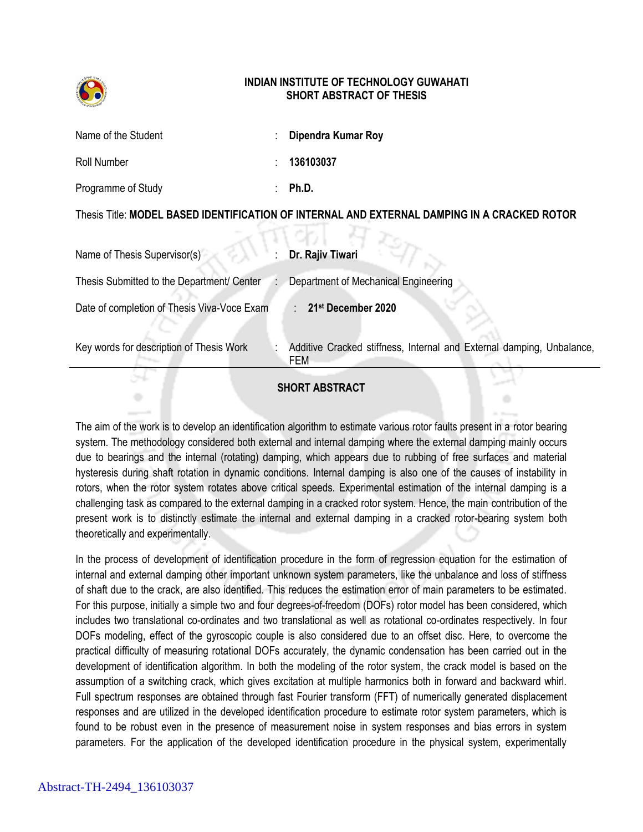

## **INDIAN INSTITUTE OF TECHNOLOGY GUWAHATI SHORT ABSTRACT OF THESIS**

| Name of the Student                                                                          |  | Dipendra Kumar Roy                                                           |
|----------------------------------------------------------------------------------------------|--|------------------------------------------------------------------------------|
| <b>Roll Number</b>                                                                           |  | 136103037                                                                    |
| Programme of Study                                                                           |  | Ph.D.                                                                        |
| Thesis Title: MODEL BASED IDENTIFICATION OF INTERNAL AND EXTERNAL DAMPING IN A CRACKED ROTOR |  |                                                                              |
| Name of Thesis Supervisor(s)                                                                 |  | Dr. Rajiv Tiwari                                                             |
| Thesis Submitted to the Department/ Center                                                   |  | Department of Mechanical Engineering                                         |
| Date of completion of Thesis Viva-Voce Exam                                                  |  | 21st December 2020                                                           |
| Key words for description of Thesis Work                                                     |  | Additive Cracked stiffness, Internal and External damping, Unbalance,<br>FEM |
|                                                                                              |  | <b>SHORT ABSTRACT</b>                                                        |

The aim of the work is to develop an identification algorithm to estimate various rotor faults present in a rotor bearing system. The methodology considered both external and internal damping where the external damping mainly occurs due to bearings and the internal (rotating) damping, which appears due to rubbing of free surfaces and material hysteresis during shaft rotation in dynamic conditions. Internal damping is also one of the causes of instability in rotors, when the rotor system rotates above critical speeds. Experimental estimation of the internal damping is a challenging task as compared to the external damping in a cracked rotor system. Hence, the main contribution of the present work is to distinctly estimate the internal and external damping in a cracked rotor-bearing system both theoretically and experimentally.

In the process of development of identification procedure in the form of regression equation for the estimation of internal and external damping other important unknown system parameters, like the unbalance and loss of stiffness of shaft due to the crack, are also identified. This reduces the estimation error of main parameters to be estimated. For this purpose, initially a simple two and four degrees-of-freedom (DOFs) rotor model has been considered, which includes two translational co-ordinates and two translational as well as rotational co-ordinates respectively. In four DOFs modeling, effect of the gyroscopic couple is also considered due to an offset disc. Here, to overcome the practical difficulty of measuring rotational DOFs accurately, the dynamic condensation has been carried out in the development of identification algorithm. In both the modeling of the rotor system, the crack model is based on the assumption of a switching crack, which gives excitation at multiple harmonics both in forward and backward whirl. Full spectrum responses are obtained through fast Fourier transform (FFT) of numerically generated displacement responses and are utilized in the developed identification procedure to estimate rotor system parameters, which is found to be robust even in the presence of measurement noise in system responses and bias errors in system parameters. For the application of the developed identification procedure in the physical system, experimentally

÷